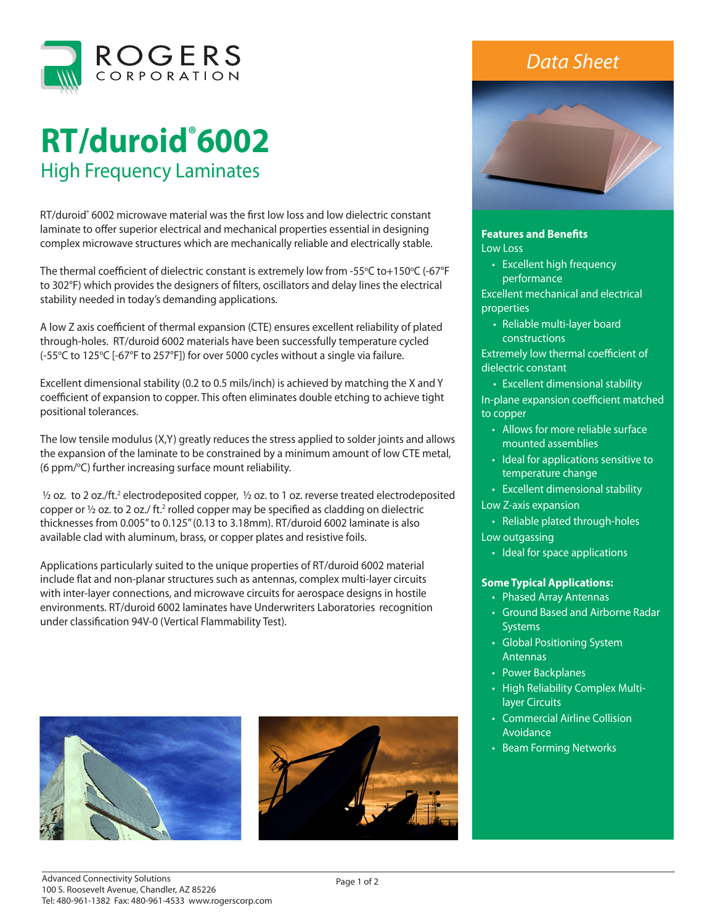

# **RT/duroid® 6002**  High Frequency Laminates

RT/duroid<sup>®</sup> 6002 microwave material was the first low loss and low dielectric constant laminate to offer superior electrical and mechanical properties essential in designing complex microwave structures which are mechanically reliable and electrically stable.

The thermal coefficient of dielectric constant is extremely low from -55°C to+150°C (-67°F to 302°F) which provides the designers of filters, oscillators and delay lines the electrical stability needed in today's demanding applications.

A low Z axis coefficient of thermal expansion (CTE) ensures excellent reliability of plated through-holes. RT/duroid 6002 materials have been successfully temperature cycled (-55℃ to 125℃ [-67°F to 257°F]) for over 5000 cycles without a single via failure.

Excellent dimensional stability (0.2 to 0.5 mils/inch) is achieved by matching the X and Y coefficient of expansion to copper. This often eliminates double etching to achieve tight positional tolerances.

The low tensile modulus (X,Y) greatly reduces the stress applied to solder joints and allows the expansion of the laminate to be constrained by a minimum amount of low CTE metal, (6 ppm/°C) further increasing surface mount reliability.

<sup>1</sup>/2 oz. to 2 oz./ft.<sup>2</sup> electrodeposited copper, <sup>1</sup>/2 oz. to 1 oz. reverse treated electrodeposited copper or  $\frac{1}{2}$  oz. to 2 oz./ ft.<sup>2</sup> rolled copper may be specified as cladding on dielectric thicknesses from 0.005" to 0.125" (0.13 to 3.18mm). RT/duroid 6002 laminate is also available clad with aluminum, brass, or copper plates and resistive foils.

Applications particularly suited to the unique properties of RT/duroid 6002 material include flat and non-planar structures such as antennas, complex multi-layer circuits with inter-layer connections, and microwave circuits for aerospace designs in hostile environments. RT/duroid 6002 laminates have Underwriters Laboratories recognition under classification 94V-0 (Vertical Flammability Test).





## *Data Sheet*



### **Features and Benefits**

Low Loss

• Excellent high frequency performance

Excellent mechanical and electrical properties

• Reliable multi-layer board constructions

Extremely low thermal coefficient of dielectric constant

• Excellent dimensional stability In-plane expansion coefficient matched to copper

- Allows for more reliable surface mounted assemblies
- Ideal for applications sensitive to temperature change
- Excellent dimensional stability
- Low Z-axis expansion
- Reliable plated through-holes
- Low outgassing
	- Ideal for space applications

#### **Some Typical Applications:**

- Phased Array Antennas
- Ground Based and Airborne Radar **Systems**
- Global Positioning System Antennas
- Power Backplanes
- High Reliability Complex Multilayer Circuits
- Commercial Airline Collision **Avoidance**
- Beam Forming Networks